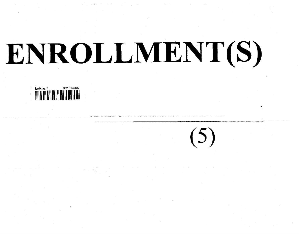# **ENRULLIVIEN**

 $(5)$ 

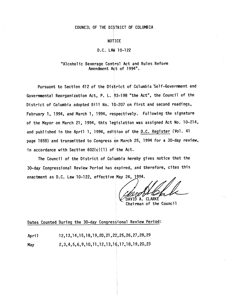## COUNCIL OF THE DISTRICT OF COLUMBIA

### NOTICE

## **D~C.** LAW I0-122

## "Alcoholic Beverage Control Act and Rules Reform Amendment Act of 1994".

Pursuant to Section 412 of the District of Columbia Self-Government and Governmental Reorganization Act, P. L. 93-198 "the Act", the Council of the District of Columbia adopted Bill No. 10-207 on first and second readings, February l, 1994, and March l, 1994, respectively. Following the signature of the Mayor on March 21, 1994, this legislation was assigned Act No. I0-214, and published in the April 1, 1994, edition of the D.C. Register (Vol. 41 page 1658) and transmitted to Congress on March 25, 1994 for a 30-day review, in accordance with Section  $602(c)(1)$  of the Act.

The Council of the District of Columbia hereby gives notice that the 30-day Congressional Review Period has expired, and therefore, cites this enactment as D.C. Law 10-122, effective May 24, 1994.

DAVID A. CLARKE

Chairman of the Council

Dates Counted During the 30-day Congressional Review Period:

April May 12,13,14,15,18,19,20,21,22,25,26,27,28,29 2,3,4,5,6,9,10,II,12,13,16,17,18,19,20,23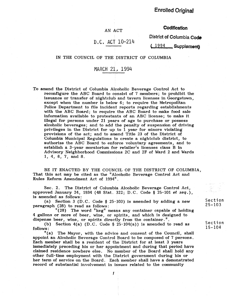## **Codification**

# D,C. ACT i0-214

AN ACT

**District of Columbia Code (.\_19 9 4 ....... Supplement)**

#### IN THE COUNCIL OF THE DISTRICT OF COLUMBIA

# MARCH 21, 1994

To amend the District of Columbia Alcoholic Beverage Control Act to reconfigure the ABC Board to consist of 7 members; to prohibit the issuance or transfer of nightclub and tavern licenses in Georgetown, except when the number is below 6; to require the Metropolitan Police Department to file incident reports regarding establishments with the ABC Board; to require the ABC Board to make food sale information available to protestants of an ABC license; to make it illegal for persons under 21 years of age to purchase or possess alcoholic beverages; and to add the penalty of suspension of driving privileges in the District for up to 1 year for minors violating provisions of the act; and to amend Title 23 of the District of Columbia Municipal Regulations to create a nightclub district, to authorize the ABC Board to enforce voluntary agreements, and to establish a 3-year moratorium for retailer's licenses class B in Advisory Neighborhood Commissions 2C and 2F of Ward 2 and Wards 1, 4, 6, 7, and 8.

BE IT ENACTED BY THE COUNCIL OF THE DISTRICT OF COLUMBIA, That this act may be cited as the "Alcoholic Beverage Control Act and Rules Reform Amendment Act of 1994".

Sec. 2. The District of Columbia Alcoholic Beverage Control Act, approved January 24, 1934 (48 Star. 322; D.C. Code § 25-101 et *seq.),* is amended as follows:

(a) Section 3 (D.C. Code § 25-103) is amended by adding a new paragraph (28) to read as follows:

"(28) The word "keg" means any container capable of holding 4 gallons or more of beer, wine, or spirits, and which is designed to dispense beer, wine, or spirits directly from the container. "

(b) Section  $4(a)$  (D.C. Code § 25-104 $(a)$ ) is amended to read as follows:<br> $\binom{n}{a}$ 

The Mayor, with the advice and consent of the Council, shall appoint an Alcoholic Beverage Control Board to be composed of 7 persons. Each member shall be a resident of the District for at least 3 years immediately preceding his or her appointment and during that period have claimed residence nowhere else. No member of the Board shall hold any other full-time employment with the District government during his or her term of service on the Board. Each member shall have a demonstrated record of substantial involvement in issues related to the community

Section 25-103

Section 15-I04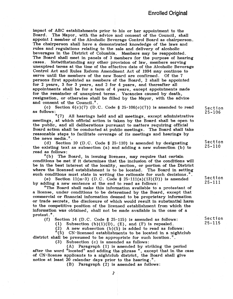impact of ABC establishments prior to his or her appointment to the Board. The Mayor, with the advice and consent of the Council, shall appoint 1 member of the Alcoholic Beverage Control Board as chairperson. The chairperson shall have a demonstrated knowledge of the laws and rules and regulations relating to the sale and delivery of alcoholic beverages in the District of Columbia. Members may be reappointed. The Board shall meet in panels of 3 members for the purpose of hearing cases. Notwithstanding any other provision of law, members serving unexpired terms at the time of the effective date of the Alcoholic Beverage Control Act and Rules Reform Amendment Act of 1994 may continue to serve until the members of the new Board are confirmed. Of the 7 persons first appointed as members of the Board, 2 shall be appointed for 2 years, 3 for 3 years, and 2 for 4 years, and thereafter all appointments shall be for a term of 4 years, except appointments made for the remainder of unexpired terms. Vacancies caused by death, resignation, or otherwise shall be filled by the Mayor, with the advice and consent of the Council.".

(c) Section  $6(c)(7)$  (D.C. Code § 25-106 $(c)(7)$ ) is amended to read as follows :

"(7) All hearings held and all meetings, except administrative meetings, at which official action is taken by the Board shall be open to the public, and all deliberations pursuant to matters requiring official Board action shall be conducted at public meetings. The Board shall take reasonable steps to facilitate coverage of its meetings and hearings by the news media."

(d) Section 10 (D.C. Code § 25-110) is amended by designating the existing text as subsection (a) and adding a new subsection (b) to read as follows:<br> $"$ (b) The

The Board, in issuing licenses, may require that certain conditions be met if it determines that the inclusion of the conditions will be in the best interest of the locality, section, or portion of the District where the licensed establishment is to be located. The Board in setting such conditions must state in writing the rationale for such decisions.".

(e) Section  $11(m-3)$  (D.C. Code §  $25-111(a)(13)(D)$ ) is amended by adding a new sentence at the end to read as follows:

"The Board shall make this information available to a protestant of a license, under conditions to be determined by the Board, except that commercial or financial information deemed to be proprietary information or trade secrets, the disclosure of which would result in substantial harm to the competitive position of the licensed establishment from which the information was obtained, shall not be made available in the case of a protest."

(f) Section 14 (D.C. Code § 25~115) is amended as follows:

(1) Subsection  $(b)(1)(D)$ ,  $(E)$ , and  $(F)$  is repealed.

(2) A new subsection (b)(5) is added to read as follows:

 $\sqrt[n]{(5)}$  CN-licensed establishments to be located in a nightclub district shall be presumed to be appropriate for such location."

(3) Subsection (c) is amended as follows:

(A) Paragraph (1) is amended by striking the period after the word "located" and adding the phrase ", except that in the case of CN-license applicants to a nightclub district, the Board shall give notice at least 20 calendar days prior to the hearing."

(B) Paragraph (2) is amended as follows:

Section 25-106

Section 25-110

Section 25-111

Section 25-115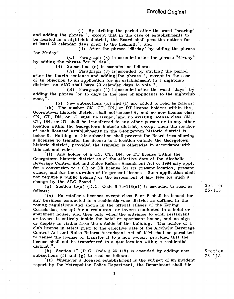(i) By striking the period after the word "hearing" and adding the phrase ", except that in the case of establishments to be located in a nightclub district, the Board shall post the notices for at least 20 calendar days prior to the hearing. "; and

(ii) After the phrase "45-day" by adding the phrase "or 20-day".

(C) Paragraph (3) is amended after the phrase "45-day" by adding the phrase "or 20-day".

(4) Subsection (e) is amended as follows:

(A) Paragraph (3) is amended by striking the period after the fourth sentence and adding the phrase", except in the case of an objection to an application for an establishment in a nightclub district, an ANC shall have 20 calendar days to vote.".

(B) Paragraph (4) is amended after the word "days" by adding the phrase "or 15 days in the case of applicants to the nightclub zone,".

(5) New subsections (k) and (I) are added to read as follows:

"(k) The number CN, CT, DN, or DT license holders within the Georgetown historic district shall not exceed 6, and no new license class CN, CT, DN, or DT shall be issued, and no existing license class CN, CT, DN, or DT shall be transferred to any other person or to any other location within the Georgetown historic district, except when the number of such licensed establishments in the Georgetown historic district is below 6. Nothing in this subsection shall prevent the Board from allowing a licensee to transfer the license to a location outside the Georgetown historic district, provided the transfer is otherwise in accordance with this act and rules.<br> $"(1)$  Any hol

Any holder of a CN, CT, DN, or DT license within the Georgetown historic district as of the effective date of the Alcoholic Beverage Control Act and Rules Reform Amendment Act of 1994 may apply for a conversion to a CR or DK license for its present location, present owner, and for the duration of its present license. Such application shall not require a public hearing or the assessment of any fees for such a change by the ABC Board."

(g) Section 15(a) (D.C. Code § 25-116(a)) is amended to read as follows:<br> $\binom{n}{a}$ 

No retailer's licenses except class B or E shall be issued for any business conducted in a residential-use district as defined in the zoning regulations and shown in the official atlases of the Zoning Commission, except for a restaurant or tavern conducted in a hotel or apartment house, and then only when the entrance to such restaurant or tavern is entirely inside the hotel or apartment house, and no sign or display is visible from the outside of the building. The holder of a club license in effect prior to the effective date of the Alcoholic Beverage Control Act and Rules Reform Amendment Act of 1994 shall be permitted to renew the license or transfer it to a new owner, provided that the license shall not be transferred to a new location within a residential district.".

(h) Section 17 (D.C. Code § 25-118) is amended by adding new subsections (f) and (g) to read as follows:

"(f) Whenever a licensed establishment is the subject of an incident report by the Metropolitan Police Department, the Department shall file

Section 25-116

Section 25-118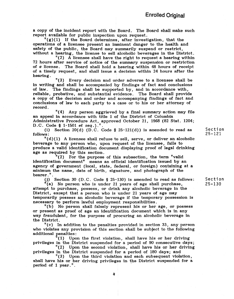a copy of the incident report with the Board. The Board shall make such report available for public inspection upon request.

 $\binom{n}{k}(1)$  If the Board determines, after investigation, that the operations of a licensee present an imminent danger to the health and safety of the public, the Board may summarily suspend or restrict, without a hearing, the license to sell alcoholic beverages in the District.

"(2) A licensee shall have the right to request a hearing within 72 hours after service of notice of the summary suspension or restriction of  $\sigma$  license. The Board shall hold a hearing within 48 hours of receipt o£ a timely request, and shall issue a decision within 24 hours after the hearing.

"(3) Every decision and order adverse to a licensee shall be in writing and shall be accompanied by findings of fact and conclusions of law. The findings shall be supported by, and in accordance with, reliable, probative, and substantial evidence. The Board shall provide a copy of the decision and order and accompanying findings of fact and conclusions of law to each party to a case or to his or her attorney of record.

"(4) Any person aggrieved by a final summary action may file an appeal in accordance with title 1 of the District of Columbia Administrative Procedure Act, approved October 21, 1968 (82 Star. 1204; D.C. Code § 1-1501 et *seq.).".*

(i) Section 20(d) (D.C. Code  $\S$  25-121(d)) is amended to read as follows :

 $"(\mathrm{d})(1)$  A licensee shall refuse to sell, serve, or deliver an alcoholic beverage to any person who, upon request of the licensee, fails to produce a valid identification document displaying proof of legal drinking age as required by this section.

 $^{\prime\prime}(2)$  For the purpose of this subsection, the term "valid" identification document" means an official identification issued by an agency of government (local, state, federal, or foreign) containing at a minimum the name, date of birth, signature, and photograph of the bearer.".

(j) Section 30 (D.C. Code § 25-130) is amended to read as follows:

 $^{\prime\prime}$ (a) No person who is under 21 years of age shall purchase attempt to purchase, possess, or drink any alcoholic beverage in the District, except that a person who is under 21 years of age may temporarily possess an alcoholic beverage if the temporary possession is necessary to perform lawful employment responsibilities.

"(b) No person shall falsely represent his or her age, or possess or present as proof of age an identification document which is in any way fraudulent, for the purpose of procuring an alcoholic beverage in the District.

"(c) In addition to the penalties provided in section 33, any person who violates any provision of this section shall be subject to the following additional penalties :

"(1) Upon the first violation, shall have his or her driving privileges in the District suspended for a period of 90 consecutive days;

"(2) Upon the second violation, shall have his or her driving privileges in the District suspended for a period of 180 days; and

"(3) Upon the third violation and each subsequent violation, shall have his or her driving privileges in the District suspended for a period of 1 year."

Section 25-121

Section 25-130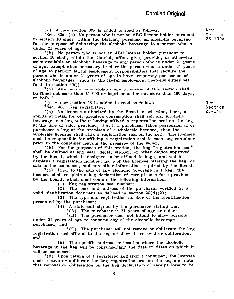(k) A new section 30a is added to read as follows:

"See. 30a. (a) No person who is not an ABC license holder pursuant to section I0 shall, within the District, purchase an alcoholic beverage for the purpose of delivering the alcoholic beverage to a person who is under 21 years of age.

"(b) No person who is not an ABC license holder pursuant to section 10 shall, within the District, offer, give, provide, or otherwise make available an alcoholic beverage to any person who is under 21 years of age, except when necessary to allow the person who is under 21 years of age to perform lawful employment responsibilities that require the person who is under 21 years of age to have temporary possession of alcoholic beverages, such as the lawful employment responsibilities set forth in section 20(j).

"(c) Any person who violates any provision of this section shall be fined not more than \$1,000 or imprisoned for not more than 180 days, or both."

(1) A new section 48 is added to read as follows:

"Sec. 48. Keg registration.

"(a) No licensee authorized by the Board to sell wine, beer, or spirits at retail for off-premises consumption shall sell any alcoholic beverage in a keg without having affixed a registration seal on the keg at the time of sale; provided, that if a purchaser takes possession of or purchases a keg at the premises of a wholesale licensee, then the wholesale licensee shall affix a registration seal on the keg. The licensee shall be responsible for affixing a registration seal to each keg container prior to the container leaving the premises of the seller.

"(b) For the purposes of this section, the keg "registration seal" shall be defined as any seal, decal, sticker, or other device approved by the Board, which is designed to be affixed to kegs, and which displays a registration number, name of the licensee offering the keg for sale to the consumer, and any other information required by the Board.

"(c) Prior to the sale of any alcoholic beverage in a keg, the licensee shall complete a keg declaration of receipt on a form provided by the Board, which shall contain the following information:

 $"(1)$  Keg registration seal number;

"(2) The name and address of the purchaser verified by a valid identification document as defined in section 20(d)(2);

"(3) The type and registration number of the identification presented by the purchaser;

"(4) A statement signed by the purchaser stating that:

"(A) The purchaser is 21 years of age or older;

"(B) The purchaser does not intend to allow persons under 21 years of age to consume any of the alcoholic beverage purchased; and

"(C) The purchaser will not remove or obliterate the keg registration seal affixed to the keg or allow its removal or obliteration; and

"(5) The specific address or location where the alcoholic beverage in the keg will be consumed and the date or dates on which it will be consumed.<br>"(d) Upon r

Upon return of a registered keg from a consumer, the licensee shall remove or obliterate the keg registration seal on the keg and note that removal or obliteration on the keg declaration of receipt form to be

New Section 25-130a

New Section 25-148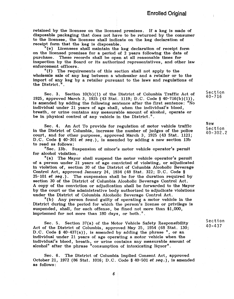retained by the licensee on the licensed premises. If a keg is made of disposable packaging that does not have to be returned by the consumer to the licensee, the licensee shall indicate on the keg declaration of receipt form that the keg is disposable.<br>"(e) Licensees shall maintain the

Licensees shall maintain the keg declaration of receipt form on the licensed premises for a period of 2 years following the date of purchase. These records shall be open at all reasonable times for inspection by the Board or its authorized representatives, and other law enforcement officers.

"(f) The requirements of this section shall not apply to the wholesale sale of any keg between a wholesaler and a retailer or to the import of any keg by a retailer pursuant to the laws and regulations of the District."

Sec. 3. Section 10(b)(1) o£ the District of Columbia Traffic Act of 1925, approved March 3, 1925 (43 Star. 1119; D.C. Code § 40-716(b)(1)), is amended by adding the following sentence after the first sentence: "No individual under 21 years of age shall, when the individual's blood, breath, or urine contains any measurable amount of alcohol, operate or be in physical control of any vehicle in the District."

Sec. 4. An Act To provide for regulation of motor vehicle traffic in the District of Columbia, increase the number of judges of the police court, and for other purposes, approved March 3, 1925 (43 Star. 1121; D.C. Code § 40-301 et seq.), is amended by adding a new section 13b to read as follows:

"Sec. 13b. Suspension of minor's motor vehicle operator's permit for alcohol violation.

"(a) The Mayor shall suspend the motor vehicle operator's permit of a person under 21 years of age convicted of violating, or adjudicated in violation of, section 30 of the District of Columbia Alcoholic Beverage Control Act, approved January 24, 1934 (48 Stat. 322; D.C. Code §  $25-101$  et seq.). The suspension shall be for the duration required by section 30 of the District of Columbia Alcoholic Beverage Control Act. A copy of the conviction or adjudication shall be forwarded to the Mayor by the court or the administrative body authorized to adjudicate violations under the District of Columbia Alcoholic Beverage Control Act.

"(b) Any person found guilty of operating a motor vehicle in the District during the period for which the person's license or privilege is suspended, shall, for each offense, be fined not more than \$1,000, imprisoned for not more than 180 days, or both."

Sec. 5. Section 37(a) of the Motor Vehicle Safety Responsibility Act of the District of Columbia, approved May 25, 1954 (68 Star. 130; D.C. Code § 40-437(a)), is amended by adding the phrase ", or an individual under 21 years of age operating a motor vehicle when the individual's blood, breath, or urine contains any measurable amount of alcohol" after the phrase "consumption of intoxicating liquor".

Sec. 6. The District of Columbia Implied Consent Act, approved October 21, 1972 (86 Stat. 1016; D.C. Code § 40-501 *et seq.),* is amended as follows :

Section 40-716

**New** Section 40-302.2

Section 40-437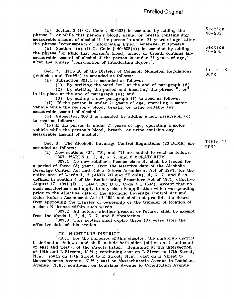(a) Section 2 (D.C. Code § 40-502) is amended by adding the phrase ", or while that person's blood, urine, or breath contains any measurable amount of alcohol if the person is under 21 years of age" after the phrase "consumption of intoxicating liquor" wherever it appears.

(b) Section 5(a) (D.C. Code §  $40-505(a)$ ) is amended by adding the phrase "or while that person's blood, urine, or breath contains any measurable amount of alcohol if the person is under 21 years of age," after the phrase "consumption of intoxicating liquor,"

Sec. 7. Title 18 of the District of Columbia Municipal Regulations (Vehicles and Traffic) is amended as follows:

(a) Subsection 301.1 is amended as follows:

(1) By striking the word "or" at the end of paragraph (d);

(2) By striking the period and inserting the phrase "; or" in its place at the end of paragraph (e); and

(3) By adding a new paragraph (f) to read as follows:

"(f) If the person is under 21 years of age, operating a motor vehicle while the person's blood, breath, or urine contains any measurable amount of alcohol."

(b) Subsection 303.1 is amended by adding a new paragraph (o) to read as follows:

"(o) If the person is under 21 years of age, operating a motor vehicle while the person's blood, breath, or urine contains any measurable amount of alcohol."

Sec. 8. The Alcoholic Beverage Control Regulations (23 DCMR) are amended as follows:

(a) New sections 307, 710, and 711 are added to read as follows: "307 WARDS 1, 2, 4, 6, 7, and 8 MORATORIUM

"307.1 No new retailer's license class B, shall be issued for a period of three (3) years, from the effective date of the Alcoholic Beverage Control Act and Rules Reform Amendment Act of 1994, for the entire area of Wards 1, 2 (ANCs 2C and 2F only), 4, 6, 7, and 8 as defined in section d of the Redistricting Procedure Act of 1981, effective August 17, 1991 (D.C. Law 9-26; D.C. Code § 1-1333), except that no such moratorium shall apply to any class B application which was pending prior to the effective date of the Alcoholic Beverage Control Act and Rules Reform Amendment Act of 1994 and shall not prohibit the Board £rom approving the transfer of ownership or the transfer of location of a class B license within such wards.

"307.2 All hotels, whether present or future, shall be exempt from the Wards 1, 2, 4, 6, 7, and 8 Moratorium.

"307.3 This section shall expire three (3) years after the effective date of this section.

"710 NIGHTCLUB DISTRICT

"710.1 For the purposes of this chapter, the nightclub district is defined as follows, and shall include both sides (either north and south or east and west), of the streets listed: Beginning at the intersection of 19th and L Streets, N.W. ; continuing east on L Street to 17th Street, N.W.; south on 17th Street to K Street, N.W.; east on K Street to Massachusetts Avenue, N.W. ; east on Massachusetts Avenue to Louisiana Avenue, N.E. ; southwest on Louisiana Avenue to Constitution Avenue,

Section 40-502

Section 40-505

Title 18 DCMR

Title 23 DCMR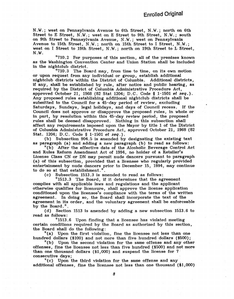N.W. ; west on Pennsylvania Avenue to 6th Street, N.W. ; north on 6th Street to E Street, N.W.; west on E Street to 9th Street, N.W.; south on 9th Street to Pennsylvania Avenue, N.W. ; west on Pennsylvania Avenue to 15th Street, N.W. ; north on 15th Street to I Street, N.W. ; west on I Street to 19th Street, N.W.; north on 19th Street to L Street,  $N.W.$ 

"710.2 For purposes of this section, all of the premises known as the Washington Convention Center and Union Station shall be included in the nightclub district.

"710.3 The Board may, from time to time, on its own motion or upon request from any individual or group, establish additional nightclub districts within the District of Columbia. Additional districts, if any, shall be established by rule, after notice and public hearing, as required by the District of Columbia Administrative Procedure Act, approved October 21, 1968 (82 Stat 1204; D.C. Code § 1-1501 et seq.). Any proposed rules establishing additional nightclub districts shall be submitted to the Council for a 45-day period of review, excluding Saturdays, Sundays, legal holidays, and days of Council recess. If the Council does not approve or disapprove the proposed rules, in whole or in part, by resolution within this 45-day review period, the proposed rules shall be deemed disapproved. Nothing in this subsection shall affect any requirements imposed upon the Mayor by title I of the District of Columbia Administrative Procedure Act, approved October 21, 1968 (82 Stat. 1204; D.C. Code § 1-1501 et seq.).

(b) Subsection 904.5 is amended by designating the existing text as paragraph (a) and adding a new paragraph (b) to read as follows:

"(b) After the effective date of the Alcoholic Beverage Control Act and Rules Reform Amendment Act of 1994, no holder of a Retailer's License Class CN or DN may permit nude dancers pursuant to paragraph (a) of this subsection, provided that a licensee who regularly provided entertainment by nude dancers prior to December 15, 1994, may continue to do so at that establishment.".

(c) Subsection 1513.3 is amended to read as follows:

"1513.3 The Board, if it determines that the agreement complies with all applicable laws and regulations and the applicant otherwise qualifies for licensure, shall approve the license application conditioned upon the licensee's compliance with the terms of the written agreement. In doing so, the Board shall incorporate the text of the agreement in its order, and the voluntary agreement shall be enforceable by the Board.".

(d) Section 1513 is amended by adding a new subsection 1513.6 to read as follows:

"1513.6 Upon finding that a licensee has violated meeting certain conditions required by the Board as authorized by this section, the Board shall do the following:

"(a) Upon the first violation, fine the licensee not less than one hundred dollars (\$100) and not more than five hundred dollars (\$500);

"(b) Upon the second violation for the same offense and any other offenses, fine the licensee not less than five hundred (\$500) and not more than one thousand dollars (\$1,000) and suspend the license for 7 consecutive days;

"(c) Upon the third violation for the same offense and any additional offenses, fine the licensee not less than one thousand (\$I,000)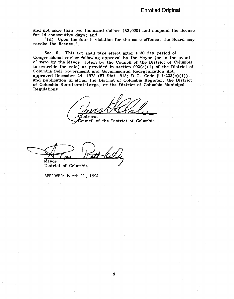and not more than two thousand dollars (\$2,000) and suspend the license for 14 consecutive days; and

"(d) Upon the fourth violation for the same offense, the Board may revoke the license."

Sec. 9. This act shall take effect after a 30-day period of Congressional review following approval by the Mayor (or in the event of veto by the Mayor, action by the Council of the District of Columbia to override the veto) as provided in section  $602(c)(1)$  of the District of Columbia Self-Government and Governmental Reorganization Act, approved December 24, 1973 (87 Stat. 813; D.C. Code § 1-233(c)(1)), and publication in either the District of Columbia Register, the District of Columbia Statutes-at-Large, or the District of Columbia Municipal Regulations.

hairman

Council of the District of Columbia

Mayor

District of Columbia

APPROVED: March 21, 1994